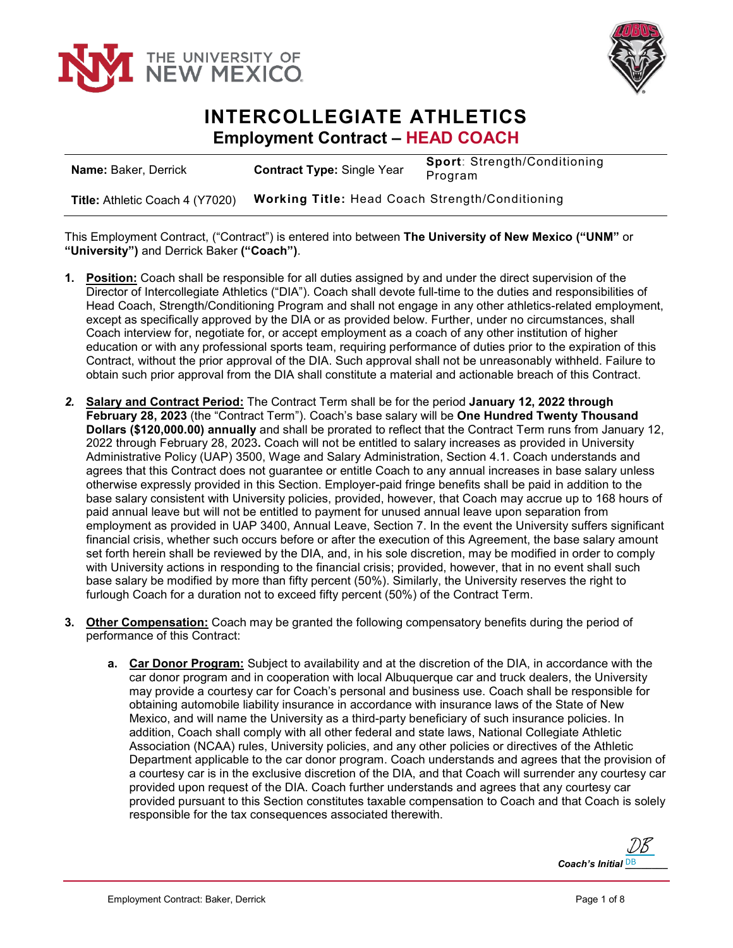



## **INTERCOLLEGIATE ATHLETICS Employment Contract – HEAD COACH**

| <b>Name: Baker, Derrick</b>     | <b>Contract Type: Single Year</b>                      | <b>Sport: Strength/Conditioning</b><br>Program |
|---------------------------------|--------------------------------------------------------|------------------------------------------------|
| Title: Athletic Coach 4 (Y7020) | <b>Working Title: Head Coach Strength/Conditioning</b> |                                                |

This Employment Contract, ("Contract") is entered into between **The University of New Mexico ("UNM"** or **"University")** and Derrick Baker **("Coach")**.

- **1. Position:** Coach shall be responsible for all duties assigned by and under the direct supervision of the Director of Intercollegiate Athletics ("DIA"). Coach shall devote full-time to the duties and responsibilities of Head Coach, Strength/Conditioning Program and shall not engage in any other athletics-related employment, except as specifically approved by the DIA or as provided below. Further, under no circumstances, shall Coach interview for, negotiate for, or accept employment as a coach of any other institution of higher education or with any professional sports team, requiring performance of duties prior to the expiration of this Contract, without the prior approval of the DIA. Such approval shall not be unreasonably withheld. Failure to obtain such prior approval from the DIA shall constitute a material and actionable breach of this Contract.
- *2.* **Salary and Contract Period:** The Contract Term shall be for the period **January 12, 2022 through February 28, 2023** (the "Contract Term"). Coach's base salary will be **One Hundred Twenty Thousand Dollars (\$120,000.00) annually** and shall be prorated to reflect that the Contract Term runs from January 12, 2022 through February 28, 2023**.** Coach will not be entitled to salary increases as provided in University Administrative Policy (UAP) 3500, Wage and Salary Administration, Section 4.1. Coach understands and agrees that this Contract does not guarantee or entitle Coach to any annual increases in base salary unless otherwise expressly provided in this Section. Employer-paid fringe benefits shall be paid in addition to the base salary consistent with University policies, provided, however, that Coach may accrue up to 168 hours of paid annual leave but will not be entitled to payment for unused annual leave upon separation from employment as provided in UAP 3400, Annual Leave, Section 7. In the event the University suffers significant financial crisis, whether such occurs before or after the execution of this Agreement, the base salary amount set forth herein shall be reviewed by the DIA, and, in his sole discretion, may be modified in order to comply with University actions in responding to the financial crisis; provided, however, that in no event shall such base salary be modified by more than fifty percent (50%). Similarly, the University reserves the right to furlough Coach for a duration not to exceed fifty percent (50%) of the Contract Term.
- **3. Other Compensation:** Coach may be granted the following compensatory benefits during the period of performance of this Contract:
	- **a. Car Donor Program:** Subject to availability and at the discretion of the DIA, in accordance with the car donor program and in cooperation with local Albuquerque car and truck dealers, the University may provide a courtesy car for Coach's personal and business use. Coach shall be responsible for obtaining automobile liability insurance in accordance with insurance laws of the State of New Mexico, and will name the University as a third-party beneficiary of such insurance policies. In addition, Coach shall comply with all other federal and state laws, National Collegiate Athletic Association (NCAA) rules, University policies, and any other policies or directives of the Athletic Department applicable to the car donor program. Coach understands and agrees that the provision of a courtesy car is in the exclusive discretion of the DIA, and that Coach will surrender any courtesy car provided upon request of the DIA. Coach further understands and agrees that any courtesy car provided pursuant to this Section constitutes taxable compensation to Coach and that Coach is solely responsible for the tax consequences associated therewith.

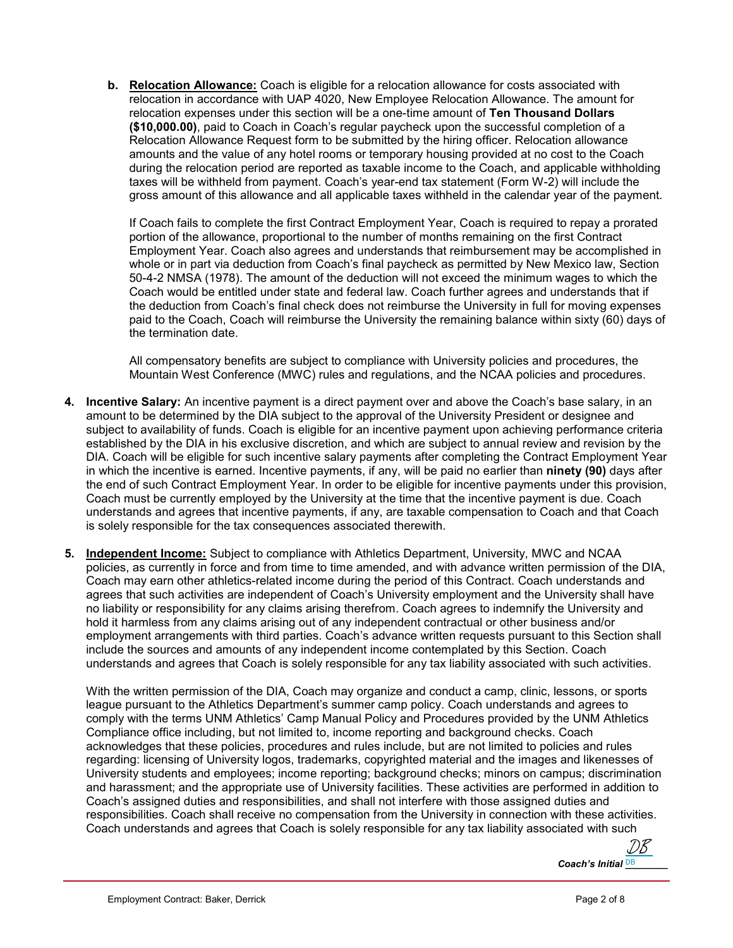**b. Relocation Allowance:** Coach is eligible for a relocation allowance for costs associated with relocation in accordance with UAP 4020, New Employee Relocation Allowance. The amount for relocation expenses under this section will be a one-time amount of **Ten Thousand Dollars (\$10,000.00)**, paid to Coach in Coach's regular paycheck upon the successful completion of a Relocation Allowance Request form to be submitted by the hiring officer. Relocation allowance amounts and the value of any hotel rooms or temporary housing provided at no cost to the Coach during the relocation period are reported as taxable income to the Coach, and applicable withholding taxes will be withheld from payment. Coach's year-end tax statement (Form W-2) will include the gross amount of this allowance and all applicable taxes withheld in the calendar year of the payment.

If Coach fails to complete the first Contract Employment Year, Coach is required to repay a prorated portion of the allowance, proportional to the number of months remaining on the first Contract Employment Year. Coach also agrees and understands that reimbursement may be accomplished in whole or in part via deduction from Coach's final paycheck as permitted by New Mexico law, Section 50-4-2 NMSA (1978). The amount of the deduction will not exceed the minimum wages to which the Coach would be entitled under state and federal law. Coach further agrees and understands that if the deduction from Coach's final check does not reimburse the University in full for moving expenses paid to the Coach, Coach will reimburse the University the remaining balance within sixty (60) days of the termination date.

All compensatory benefits are subject to compliance with University policies and procedures, the Mountain West Conference (MWC) rules and regulations, and the NCAA policies and procedures.

- **4. Incentive Salary:** An incentive payment is a direct payment over and above the Coach's base salary, in an amount to be determined by the DIA subject to the approval of the University President or designee and subject to availability of funds. Coach is eligible for an incentive payment upon achieving performance criteria established by the DIA in his exclusive discretion, and which are subject to annual review and revision by the DIA. Coach will be eligible for such incentive salary payments after completing the Contract Employment Year in which the incentive is earned. Incentive payments, if any, will be paid no earlier than **ninety (90)** days after the end of such Contract Employment Year. In order to be eligible for incentive payments under this provision, Coach must be currently employed by the University at the time that the incentive payment is due. Coach understands and agrees that incentive payments, if any, are taxable compensation to Coach and that Coach is solely responsible for the tax consequences associated therewith.
- **5. Independent Income:** Subject to compliance with Athletics Department, University, MWC and NCAA policies, as currently in force and from time to time amended, and with advance written permission of the DIA, Coach may earn other athletics-related income during the period of this Contract. Coach understands and agrees that such activities are independent of Coach's University employment and the University shall have no liability or responsibility for any claims arising therefrom. Coach agrees to indemnify the University and hold it harmless from any claims arising out of any independent contractual or other business and/or employment arrangements with third parties. Coach's advance written requests pursuant to this Section shall include the sources and amounts of any independent income contemplated by this Section. Coach understands and agrees that Coach is solely responsible for any tax liability associated with such activities.

With the written permission of the DIA, Coach may organize and conduct a camp, clinic, lessons, or sports league pursuant to the Athletics Department's summer camp policy. Coach understands and agrees to comply with the terms UNM Athletics' Camp Manual Policy and Procedures provided by the UNM Athletics Compliance office including, but not limited to, income reporting and background checks. Coach acknowledges that these policies, procedures and rules include, but are not limited to policies and rules regarding: licensing of University logos, trademarks, copyrighted material and the images and likenesses of University students and employees; income reporting; background checks; minors on campus; discrimination and harassment; and the appropriate use of University facilities. These activities are performed in addition to Coach's assigned duties and responsibilities, and shall not interfere with those assigned duties and responsibilities. Coach shall receive no compensation from the University in connection with these activities. Coach understands and agrees that Coach is solely responsible for any tax liability associated with such

Coach's Initial **DB** [DB](https://secure.na2.echosign.com/verifier?tx=CBJCHBCAABAAfImuOWGfVhr_O-hgEn1ANoXUB-pDlbZ1)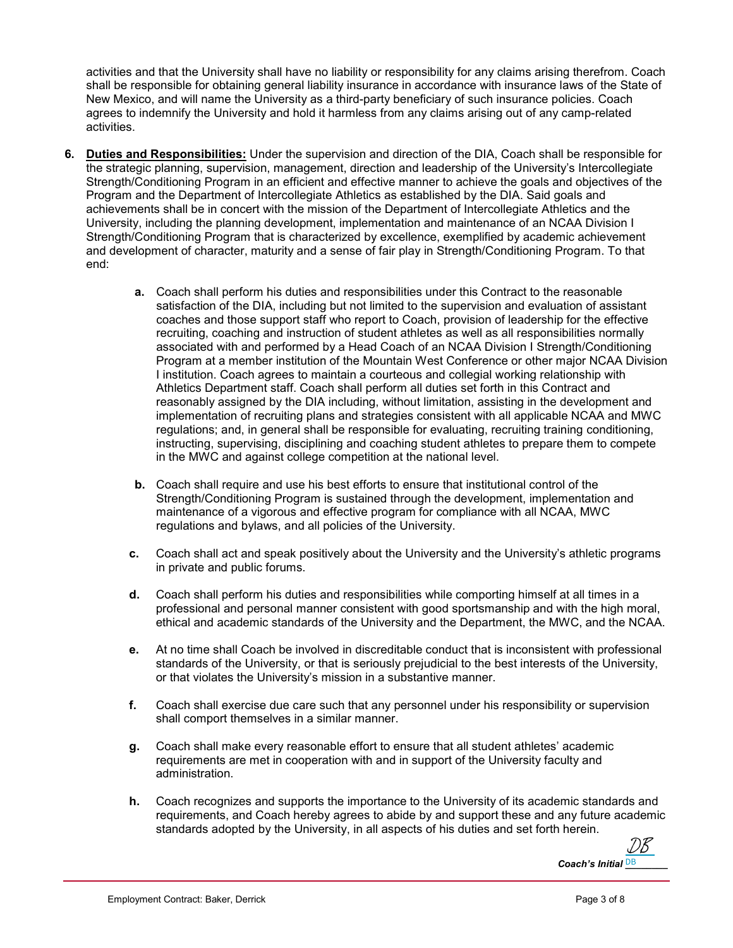activities and that the University shall have no liability or responsibility for any claims arising therefrom. Coach shall be responsible for obtaining general liability insurance in accordance with insurance laws of the State of New Mexico, and will name the University as a third-party beneficiary of such insurance policies. Coach agrees to indemnify the University and hold it harmless from any claims arising out of any camp-related activities.

- **6. Duties and Responsibilities:** Under the supervision and direction of the DIA, Coach shall be responsible for the strategic planning, supervision, management, direction and leadership of the University's Intercollegiate Strength/Conditioning Program in an efficient and effective manner to achieve the goals and objectives of the Program and the Department of Intercollegiate Athletics as established by the DIA. Said goals and achievements shall be in concert with the mission of the Department of Intercollegiate Athletics and the University, including the planning development, implementation and maintenance of an NCAA Division I Strength/Conditioning Program that is characterized by excellence, exemplified by academic achievement and development of character, maturity and a sense of fair play in Strength/Conditioning Program. To that end:
	- **a.** Coach shall perform his duties and responsibilities under this Contract to the reasonable satisfaction of the DIA, including but not limited to the supervision and evaluation of assistant coaches and those support staff who report to Coach, provision of leadership for the effective recruiting, coaching and instruction of student athletes as well as all responsibilities normally associated with and performed by a Head Coach of an NCAA Division I Strength/Conditioning Program at a member institution of the Mountain West Conference or other major NCAA Division I institution. Coach agrees to maintain a courteous and collegial working relationship with Athletics Department staff. Coach shall perform all duties set forth in this Contract and reasonably assigned by the DIA including, without limitation, assisting in the development and implementation of recruiting plans and strategies consistent with all applicable NCAA and MWC regulations; and, in general shall be responsible for evaluating, recruiting training conditioning, instructing, supervising, disciplining and coaching student athletes to prepare them to compete in the MWC and against college competition at the national level.
	- **b.** Coach shall require and use his best efforts to ensure that institutional control of the Strength/Conditioning Program is sustained through the development, implementation and maintenance of a vigorous and effective program for compliance with all NCAA, MWC regulations and bylaws, and all policies of the University.
	- **c.** Coach shall act and speak positively about the University and the University's athletic programs in private and public forums.
	- **d.** Coach shall perform his duties and responsibilities while comporting himself at all times in a professional and personal manner consistent with good sportsmanship and with the high moral, ethical and academic standards of the University and the Department, the MWC, and the NCAA.
	- **e.** At no time shall Coach be involved in discreditable conduct that is inconsistent with professional standards of the University, or that is seriously prejudicial to the best interests of the University, or that violates the University's mission in a substantive manner.
	- **f.** Coach shall exercise due care such that any personnel under his responsibility or supervision shall comport themselves in a similar manner.
	- **g.** Coach shall make every reasonable effort to ensure that all student athletes' academic requirements are met in cooperation with and in support of the University faculty and administration.
	- **h.** Coach recognizes and supports the importance to the University of its academic standards and requirements, and Coach hereby agrees to abide by and support these and any future academic standards adopted by the University, in all aspects of his duties and set forth herein.

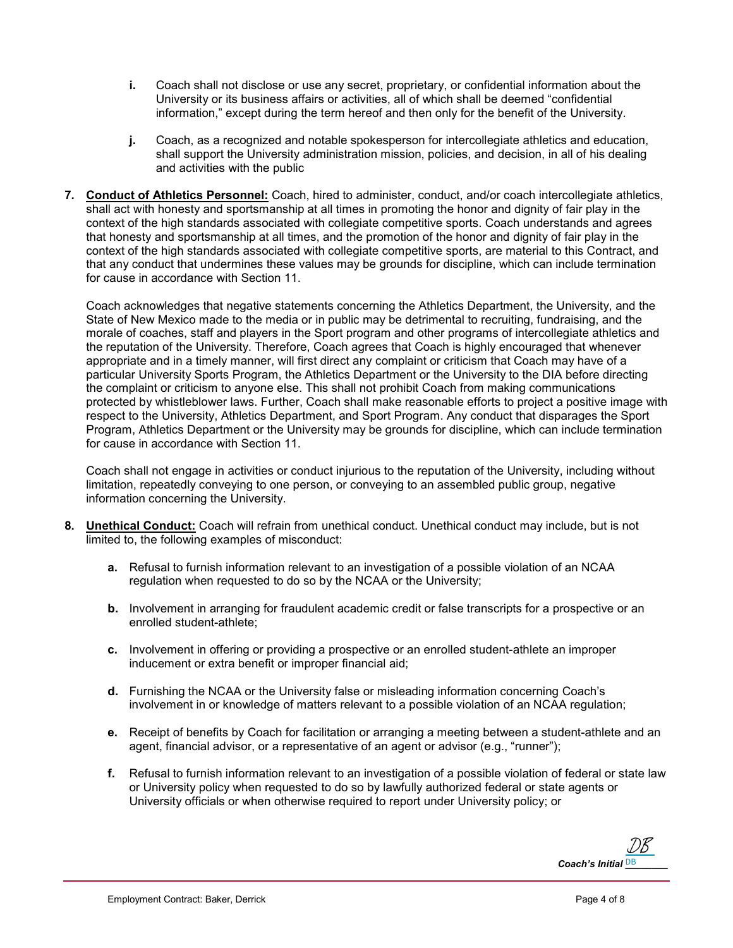- **i.** Coach shall not disclose or use any secret, proprietary, or confidential information about the University or its business affairs or activities, all of which shall be deemed "confidential information," except during the term hereof and then only for the benefit of the University.
- **j.** Coach, as a recognized and notable spokesperson for intercollegiate athletics and education, shall support the University administration mission, policies, and decision, in all of his dealing and activities with the public
- **7. Conduct of Athletics Personnel:** Coach, hired to administer, conduct, and/or coach intercollegiate athletics, shall act with honesty and sportsmanship at all times in promoting the honor and dignity of fair play in the context of the high standards associated with collegiate competitive sports. Coach understands and agrees that honesty and sportsmanship at all times, and the promotion of the honor and dignity of fair play in the context of the high standards associated with collegiate competitive sports, are material to this Contract, and that any conduct that undermines these values may be grounds for discipline, which can include termination for cause in accordance with Section 11.

Coach acknowledges that negative statements concerning the Athletics Department, the University, and the State of New Mexico made to the media or in public may be detrimental to recruiting, fundraising, and the morale of coaches, staff and players in the Sport program and other programs of intercollegiate athletics and the reputation of the University. Therefore, Coach agrees that Coach is highly encouraged that whenever appropriate and in a timely manner, will first direct any complaint or criticism that Coach may have of a particular University Sports Program, the Athletics Department or the University to the DIA before directing the complaint or criticism to anyone else. This shall not prohibit Coach from making communications protected by whistleblower laws. Further, Coach shall make reasonable efforts to project a positive image with respect to the University, Athletics Department, and Sport Program. Any conduct that disparages the Sport Program, Athletics Department or the University may be grounds for discipline, which can include termination for cause in accordance with Section 11.

Coach shall not engage in activities or conduct injurious to the reputation of the University, including without limitation, repeatedly conveying to one person, or conveying to an assembled public group, negative information concerning the University.

- **8. Unethical Conduct:** Coach will refrain from unethical conduct. Unethical conduct may include, but is not limited to, the following examples of misconduct:
	- **a.** Refusal to furnish information relevant to an investigation of a possible violation of an NCAA regulation when requested to do so by the NCAA or the University;
	- **b.** Involvement in arranging for fraudulent academic credit or false transcripts for a prospective or an enrolled student-athlete;
	- **c.** Involvement in offering or providing a prospective or an enrolled student-athlete an improper inducement or extra benefit or improper financial aid;
	- **d.** Furnishing the NCAA or the University false or misleading information concerning Coach's involvement in or knowledge of matters relevant to a possible violation of an NCAA regulation;
	- **e.** Receipt of benefits by Coach for facilitation or arranging a meeting between a student-athlete and an agent, financial advisor, or a representative of an agent or advisor (e.g., "runner");
	- **f.** Refusal to furnish information relevant to an investigation of a possible violation of federal or state law or University policy when requested to do so by lawfully authorized federal or state agents or University officials or when otherwise required to report under University policy; or

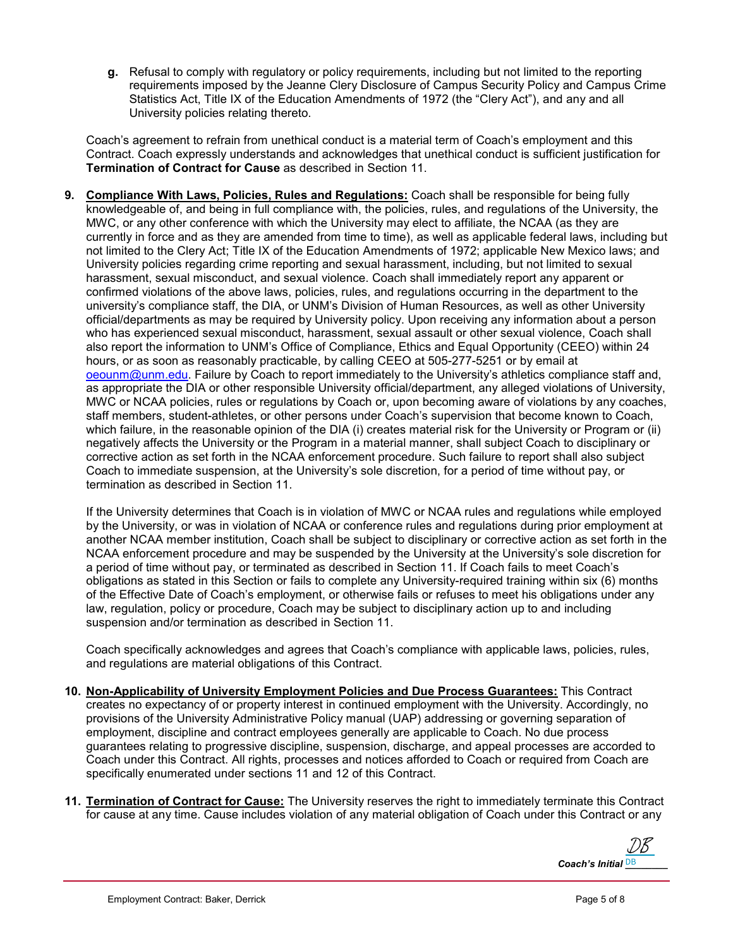**g.** Refusal to comply with regulatory or policy requirements, including but not limited to the reporting requirements imposed by the Jeanne Clery Disclosure of Campus Security Policy and Campus Crime Statistics Act, Title IX of the Education Amendments of 1972 (the "Clery Act"), and any and all University policies relating thereto.

Coach's agreement to refrain from unethical conduct is a material term of Coach's employment and this Contract. Coach expressly understands and acknowledges that unethical conduct is sufficient justification for **Termination of Contract for Cause** as described in Section 11.

**9. Compliance With Laws, Policies, Rules and Regulations:** Coach shall be responsible for being fully knowledgeable of, and being in full compliance with, the policies, rules, and regulations of the University, the MWC, or any other conference with which the University may elect to affiliate, the NCAA (as they are currently in force and as they are amended from time to time), as well as applicable federal laws, including but not limited to the Clery Act; Title IX of the Education Amendments of 1972; applicable New Mexico laws; and University policies regarding crime reporting and sexual harassment, including, but not limited to sexual harassment, sexual misconduct, and sexual violence. Coach shall immediately report any apparent or confirmed violations of the above laws, policies, rules, and regulations occurring in the department to the university's compliance staff, the DIA, or UNM's Division of Human Resources, as well as other University official/departments as may be required by University policy. Upon receiving any information about a person who has experienced sexual misconduct, harassment, sexual assault or other sexual violence, Coach shall also report the information to UNM's Office of Compliance, Ethics and Equal Opportunity (CEEO) within 24 hours, or as soon as reasonably practicable, by calling CEEO at 505-277-5251 or by email at [oeounm@unm.edu.](mailto:oeounm@unm.edu) Failure by Coach to report immediately to the University's athletics compliance staff and, as appropriate the DIA or other responsible University official/department, any alleged violations of University, MWC or NCAA policies, rules or regulations by Coach or, upon becoming aware of violations by any coaches, staff members, student-athletes, or other persons under Coach's supervision that become known to Coach, which failure, in the reasonable opinion of the DIA (i) creates material risk for the University or Program or (ii) negatively affects the University or the Program in a material manner, shall subject Coach to disciplinary or corrective action as set forth in the NCAA enforcement procedure. Such failure to report shall also subject Coach to immediate suspension, at the University's sole discretion, for a period of time without pay, or termination as described in Section 11.

If the University determines that Coach is in violation of MWC or NCAA rules and regulations while employed by the University, or was in violation of NCAA or conference rules and regulations during prior employment at another NCAA member institution, Coach shall be subject to disciplinary or corrective action as set forth in the NCAA enforcement procedure and may be suspended by the University at the University's sole discretion for a period of time without pay, or terminated as described in Section 11. If Coach fails to meet Coach's obligations as stated in this Section or fails to complete any University-required training within six (6) months of the Effective Date of Coach's employment, or otherwise fails or refuses to meet his obligations under any law, regulation, policy or procedure, Coach may be subject to disciplinary action up to and including suspension and/or termination as described in Section 11.

Coach specifically acknowledges and agrees that Coach's compliance with applicable laws, policies, rules, and regulations are material obligations of this Contract.

- **10. Non-Applicability of University Employment Policies and Due Process Guarantees:** This Contract creates no expectancy of or property interest in continued employment with the University. Accordingly, no provisions of the University Administrative Policy manual (UAP) addressing or governing separation of employment, discipline and contract employees generally are applicable to Coach. No due process guarantees relating to progressive discipline, suspension, discharge, and appeal processes are accorded to Coach under this Contract. All rights, processes and notices afforded to Coach or required from Coach are specifically enumerated under sections 11 and 12 of this Contract.
- **11. Termination of Contract for Cause:** The University reserves the right to immediately terminate this Contract for cause at any time. Cause includes violation of any material obligation of Coach under this Contract or any

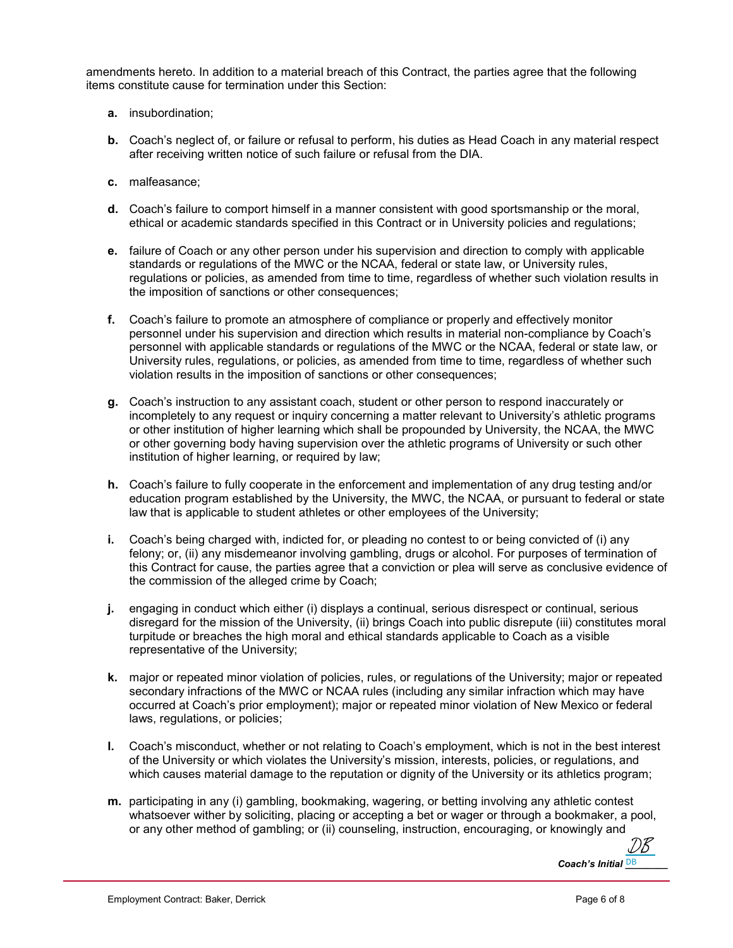amendments hereto. In addition to a material breach of this Contract, the parties agree that the following items constitute cause for termination under this Section:

- **a.** insubordination;
- **b.** Coach's neglect of, or failure or refusal to perform, his duties as Head Coach in any material respect after receiving written notice of such failure or refusal from the DIA.
- **c.** malfeasance;
- **d.** Coach's failure to comport himself in a manner consistent with good sportsmanship or the moral, ethical or academic standards specified in this Contract or in University policies and regulations;
- **e.** failure of Coach or any other person under his supervision and direction to comply with applicable standards or regulations of the MWC or the NCAA, federal or state law, or University rules, regulations or policies, as amended from time to time, regardless of whether such violation results in the imposition of sanctions or other consequences;
- **f.** Coach's failure to promote an atmosphere of compliance or properly and effectively monitor personnel under his supervision and direction which results in material non-compliance by Coach's personnel with applicable standards or regulations of the MWC or the NCAA, federal or state law, or University rules, regulations, or policies, as amended from time to time, regardless of whether such violation results in the imposition of sanctions or other consequences;
- **g.** Coach's instruction to any assistant coach, student or other person to respond inaccurately or incompletely to any request or inquiry concerning a matter relevant to University's athletic programs or other institution of higher learning which shall be propounded by University, the NCAA, the MWC or other governing body having supervision over the athletic programs of University or such other institution of higher learning, or required by law;
- **h.** Coach's failure to fully cooperate in the enforcement and implementation of any drug testing and/or education program established by the University, the MWC, the NCAA, or pursuant to federal or state law that is applicable to student athletes or other employees of the University;
- **i.** Coach's being charged with, indicted for, or pleading no contest to or being convicted of (i) any felony; or, (ii) any misdemeanor involving gambling, drugs or alcohol. For purposes of termination of this Contract for cause, the parties agree that a conviction or plea will serve as conclusive evidence of the commission of the alleged crime by Coach;
- **j.** engaging in conduct which either (i) displays a continual, serious disrespect or continual, serious disregard for the mission of the University, (ii) brings Coach into public disrepute (iii) constitutes moral turpitude or breaches the high moral and ethical standards applicable to Coach as a visible representative of the University;
- **k.** major or repeated minor violation of policies, rules, or regulations of the University; major or repeated secondary infractions of the MWC or NCAA rules (including any similar infraction which may have occurred at Coach's prior employment); major or repeated minor violation of New Mexico or federal laws, regulations, or policies;
- **l.** Coach's misconduct, whether or not relating to Coach's employment, which is not in the best interest of the University or which violates the University's mission, interests, policies, or regulations, and which causes material damage to the reputation or dignity of the University or its athletics program;
- **m.** participating in any (i) gambling, bookmaking, wagering, or betting involving any athletic contest whatsoever wither by soliciting, placing or accepting a bet or wager or through a bookmaker, a pool, or any other method of gambling; or (ii) counseling, instruction, encouraging, or knowingly and

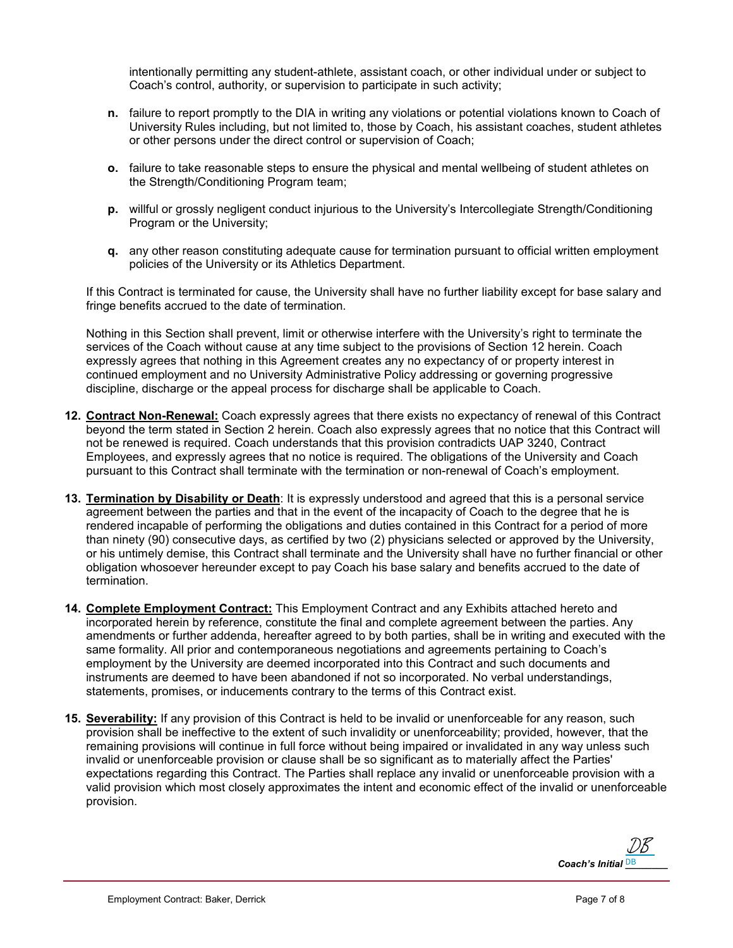intentionally permitting any student-athlete, assistant coach, or other individual under or subject to Coach's control, authority, or supervision to participate in such activity;

- **n.** failure to report promptly to the DIA in writing any violations or potential violations known to Coach of University Rules including, but not limited to, those by Coach, his assistant coaches, student athletes or other persons under the direct control or supervision of Coach;
- **o.** failure to take reasonable steps to ensure the physical and mental wellbeing of student athletes on the Strength/Conditioning Program team;
- **p.** willful or grossly negligent conduct injurious to the University's Intercollegiate Strength/Conditioning Program or the University;
- **q.** any other reason constituting adequate cause for termination pursuant to official written employment policies of the University or its Athletics Department.

If this Contract is terminated for cause, the University shall have no further liability except for base salary and fringe benefits accrued to the date of termination.

Nothing in this Section shall prevent, limit or otherwise interfere with the University's right to terminate the services of the Coach without cause at any time subject to the provisions of Section 12 herein. Coach expressly agrees that nothing in this Agreement creates any no expectancy of or property interest in continued employment and no University Administrative Policy addressing or governing progressive discipline, discharge or the appeal process for discharge shall be applicable to Coach.

- **12. Contract Non-Renewal:** Coach expressly agrees that there exists no expectancy of renewal of this Contract beyond the term stated in Section 2 herein. Coach also expressly agrees that no notice that this Contract will not be renewed is required. Coach understands that this provision contradicts UAP 3240, Contract Employees, and expressly agrees that no notice is required. The obligations of the University and Coach pursuant to this Contract shall terminate with the termination or non-renewal of Coach's employment.
- **13. Termination by Disability or Death**: It is expressly understood and agreed that this is a personal service agreement between the parties and that in the event of the incapacity of Coach to the degree that he is rendered incapable of performing the obligations and duties contained in this Contract for a period of more than ninety (90) consecutive days, as certified by two (2) physicians selected or approved by the University, or his untimely demise, this Contract shall terminate and the University shall have no further financial or other obligation whosoever hereunder except to pay Coach his base salary and benefits accrued to the date of termination.
- **14. Complete Employment Contract:** This Employment Contract and any Exhibits attached hereto and incorporated herein by reference, constitute the final and complete agreement between the parties. Any amendments or further addenda, hereafter agreed to by both parties, shall be in writing and executed with the same formality. All prior and contemporaneous negotiations and agreements pertaining to Coach's employment by the University are deemed incorporated into this Contract and such documents and instruments are deemed to have been abandoned if not so incorporated. No verbal understandings, statements, promises, or inducements contrary to the terms of this Contract exist.
- **15. Severability:** If any provision of this Contract is held to be invalid or unenforceable for any reason, such provision shall be ineffective to the extent of such invalidity or unenforceability; provided, however, that the remaining provisions will continue in full force without being impaired or invalidated in any way unless such invalid or unenforceable provision or clause shall be so significant as to materially affect the Parties' expectations regarding this Contract. The Parties shall replace any invalid or unenforceable provision with a valid provision which most closely approximates the intent and economic effect of the invalid or unenforceable provision.